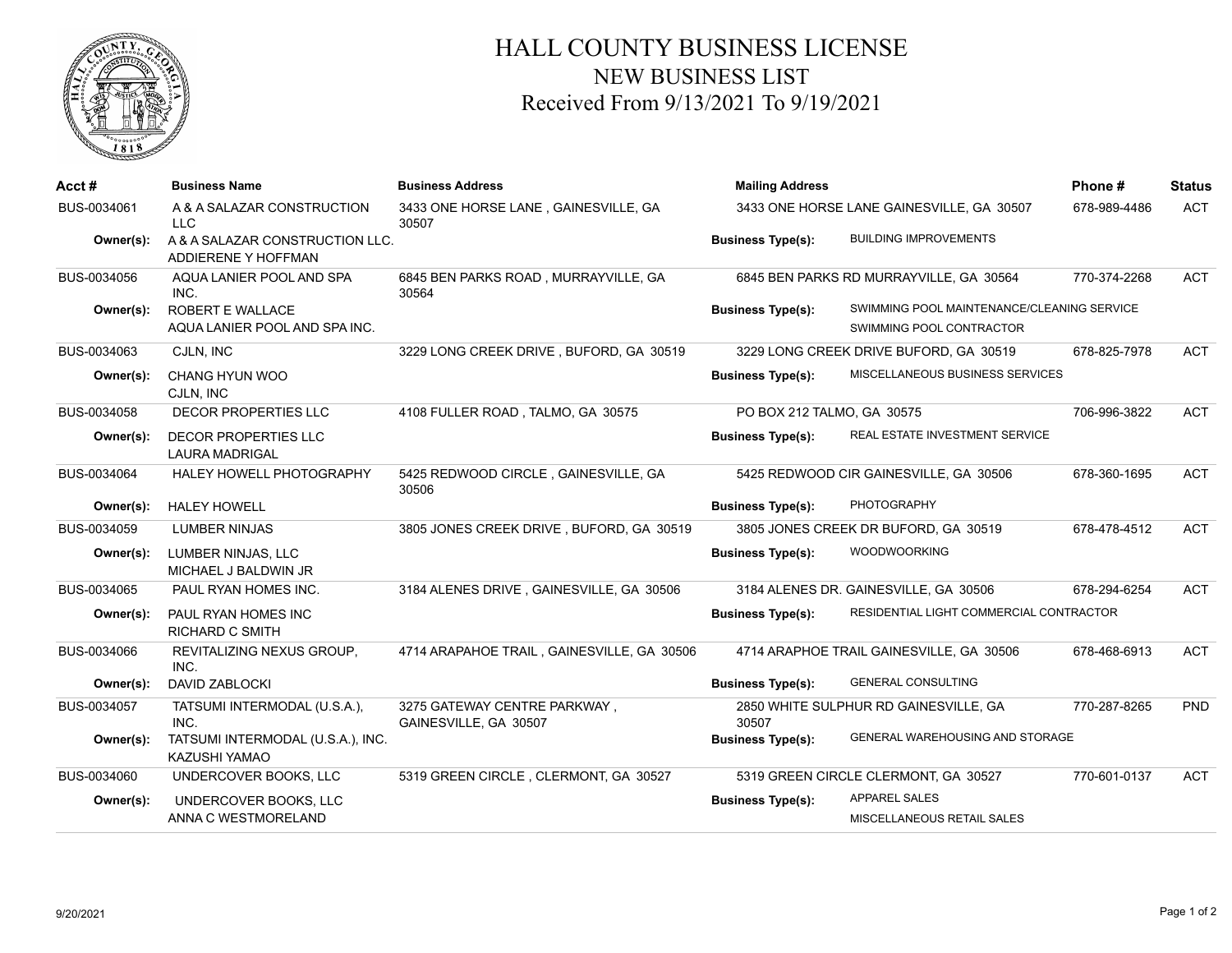

## HALL COUNTY BUSINESS LICENSE NEW BUSINESS LIST Received From 9/13/2021 To 9/19/2021

| Acct#       | <b>Business Name</b>                                   | <b>Business Address</b>                               | <b>Mailing Address</b>                    |                                                                        | Phone#       | <b>Status</b> |
|-------------|--------------------------------------------------------|-------------------------------------------------------|-------------------------------------------|------------------------------------------------------------------------|--------------|---------------|
| BUS-0034061 | A & A SALAZAR CONSTRUCTION<br>LLC                      | 3433 ONE HORSE LANE, GAINESVILLE, GA<br>30507         | 3433 ONE HORSE LANE GAINESVILLE, GA 30507 |                                                                        | 678-989-4486 | <b>ACT</b>    |
| Owner(s):   | A & A SALAZAR CONSTRUCTION LLC.<br>ADDIERENE Y HOFFMAN |                                                       | <b>Business Type(s):</b>                  | <b>BUILDING IMPROVEMENTS</b>                                           |              |               |
| BUS-0034056 | AQUA LANIER POOL AND SPA<br>INC.                       | 6845 BEN PARKS ROAD, MURRAYVILLE, GA<br>30564         |                                           | 6845 BEN PARKS RD MURRAYVILLE, GA 30564                                | 770-374-2268 | <b>ACT</b>    |
| Owner(s):   | ROBERT E WALLACE<br>AQUA LANIER POOL AND SPA INC.      |                                                       | <b>Business Type(s):</b>                  | SWIMMING POOL MAINTENANCE/CLEANING SERVICE<br>SWIMMING POOL CONTRACTOR |              |               |
| BUS-0034063 | CJLN, INC                                              | 3229 LONG CREEK DRIVE, BUFORD, GA 30519               |                                           | 3229 LONG CREEK DRIVE BUFORD, GA 30519                                 | 678-825-7978 | <b>ACT</b>    |
| Owner(s):   | CHANG HYUN WOO<br>CJLN, INC                            |                                                       | <b>Business Type(s):</b>                  | MISCELLANEOUS BUSINESS SERVICES                                        |              |               |
| BUS-0034058 | DECOR PROPERTIES LLC                                   | 4108 FULLER ROAD, TALMO, GA 30575                     | PO BOX 212 TALMO, GA 30575                |                                                                        | 706-996-3822 | <b>ACT</b>    |
| Owner(s):   | <b>DECOR PROPERTIES LLC</b><br><b>LAURA MADRIGAL</b>   |                                                       | <b>Business Type(s):</b>                  | REAL ESTATE INVESTMENT SERVICE                                         |              |               |
| BUS-0034064 | HALEY HOWELL PHOTOGRAPHY                               | 5425 REDWOOD CIRCLE, GAINESVILLE, GA<br>30506         |                                           | 5425 REDWOOD CIR GAINESVILLE, GA 30506                                 | 678-360-1695 | <b>ACT</b>    |
| Owner(s):   | <b>HALEY HOWELL</b>                                    |                                                       | <b>Business Type(s):</b>                  | <b>PHOTOGRAPHY</b>                                                     |              |               |
| BUS-0034059 | <b>LUMBER NINJAS</b>                                   | 3805 JONES CREEK DRIVE, BUFORD, GA 30519              |                                           | 3805 JONES CREEK DR BUFORD, GA 30519                                   | 678-478-4512 | <b>ACT</b>    |
| Owner(s):   | LUMBER NINJAS, LLC<br>MICHAEL J BALDWIN JR             |                                                       | <b>Business Type(s):</b>                  | <b>WOODWOORKING</b>                                                    |              |               |
| BUS-0034065 | PAUL RYAN HOMES INC.                                   | 3184 ALENES DRIVE, GAINESVILLE, GA 30506              |                                           | 3184 ALENES DR. GAINESVILLE, GA 30506                                  | 678-294-6254 | <b>ACT</b>    |
| Owner(s):   | PAUL RYAN HOMES INC<br><b>RICHARD C SMITH</b>          |                                                       | <b>Business Type(s):</b>                  | RESIDENTIAL LIGHT COMMERCIAL CONTRACTOR                                |              |               |
| BUS-0034066 | REVITALIZING NEXUS GROUP.<br>INC.                      | 4714 ARAPAHOE TRAIL, GAINESVILLE, GA 30506            |                                           | 4714 ARAPHOE TRAIL GAINESVILLE, GA 30506                               | 678-468-6913 | <b>ACT</b>    |
| Owner(s):   | DAVID ZABLOCKI                                         |                                                       | <b>Business Type(s):</b>                  | <b>GENERAL CONSULTING</b>                                              |              |               |
| BUS-0034057 | TATSUMI INTERMODAL (U.S.A.),<br>INC.                   | 3275 GATEWAY CENTRE PARKWAY,<br>GAINESVILLE, GA 30507 | 30507                                     | 2850 WHITE SULPHUR RD GAINESVILLE, GA                                  | 770-287-8265 | <b>PND</b>    |
| Owner(s):   | TATSUMI INTERMODAL (U.S.A.), INC.<br>KAZUSHI YAMAO     |                                                       | <b>Business Type(s):</b>                  | GENERAL WAREHOUSING AND STORAGE                                        |              |               |
| BUS-0034060 | UNDERCOVER BOOKS, LLC                                  | 5319 GREEN CIRCLE, CLERMONT, GA 30527                 |                                           | 5319 GREEN CIRCLE CLERMONT, GA 30527                                   | 770-601-0137 | <b>ACT</b>    |
| Owner(s):   | UNDERCOVER BOOKS, LLC                                  |                                                       | <b>Business Type(s):</b>                  | <b>APPAREL SALES</b>                                                   |              |               |
|             | ANNA C WESTMORELAND                                    |                                                       |                                           | MISCELLANEOUS RETAIL SALES                                             |              |               |